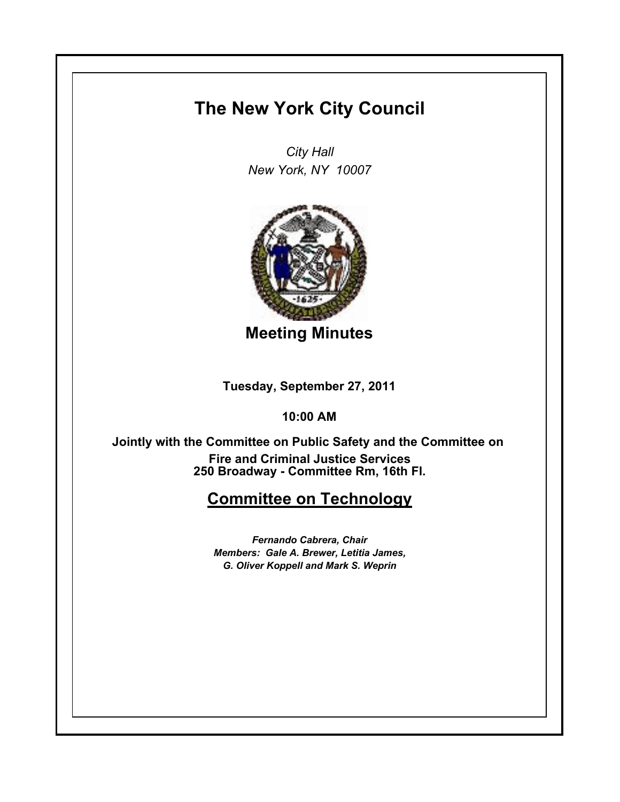## **The New York City Council**

*City Hall New York, NY 10007*



**Meeting Minutes**

**Tuesday, September 27, 2011**

**10:00 AM**

**250 Broadway - Committee Rm, 16th Fl. Jointly with the Committee on Public Safety and the Committee on Fire and Criminal Justice Services**

## **Committee on Technology**

*Fernando Cabrera, Chair Members: Gale A. Brewer, Letitia James, G. Oliver Koppell and Mark S. Weprin*